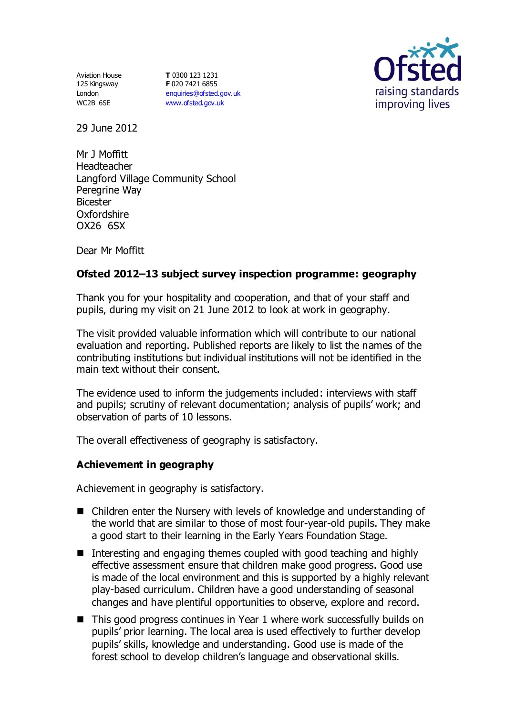Aviation House 125 Kingsway London WC2B 6SE

**T** 0300 123 1231 **F** 020 7421 6855 [enquiries@ofsted.gov.uk](mailto:enquiries@ofsted.gov.uk) [www.ofsted.gov.uk](http://www.ofsted.gov.uk/)



29 June 2012

Mr J Moffitt Headteacher Langford Village Community School Peregrine Way Bicester Oxfordshire OX26 6SX

Dear Mr Moffitt

# **Ofsted 2012–13 subject survey inspection programme: geography**

Thank you for your hospitality and cooperation, and that of your staff and pupils, during my visit on 21 June 2012 to look at work in geography.

The visit provided valuable information which will contribute to our national evaluation and reporting. Published reports are likely to list the names of the contributing institutions but individual institutions will not be identified in the main text without their consent.

The evidence used to inform the judgements included: interviews with staff and pupils; scrutiny of relevant documentation; analysis of pupils' work; and observation of parts of 10 lessons.

The overall effectiveness of geography is satisfactory.

## **Achievement in geography**

Achievement in geography is satisfactory.

- Children enter the Nursery with levels of knowledge and understanding of the world that are similar to those of most four-year-old pupils. They make a good start to their learning in the Early Years Foundation Stage.
- Interesting and engaging themes coupled with good teaching and highly effective assessment ensure that children make good progress. Good use is made of the local environment and this is supported by a highly relevant play-based curriculum. Children have a good understanding of seasonal changes and have plentiful opportunities to observe, explore and record.
- $\blacksquare$  This good progress continues in Year 1 where work successfully builds on pupils' prior learning. The local area is used effectively to further develop pupils' skills, knowledge and understanding. Good use is made of the forest school to develop children's language and observational skills.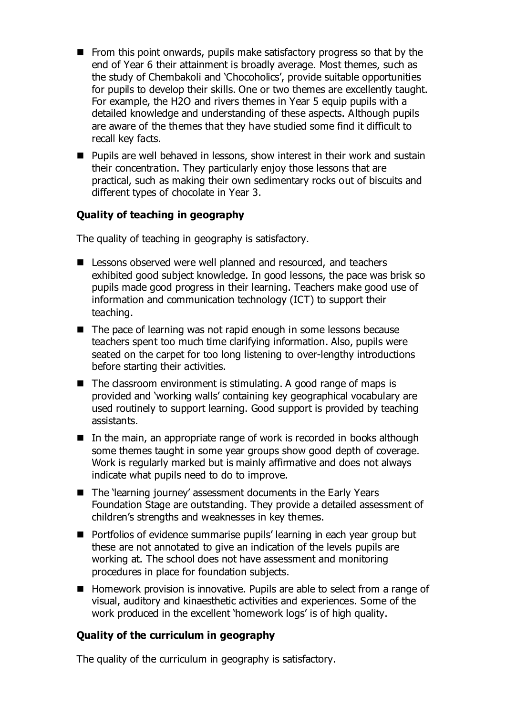- $\blacksquare$  From this point onwards, pupils make satisfactory progress so that by the end of Year 6 their attainment is broadly average. Most themes, such as the study of Chembakoli and 'Chocoholics', provide suitable opportunities for pupils to develop their skills. One or two themes are excellently taught. For example, the H2O and rivers themes in Year 5 equip pupils with a detailed knowledge and understanding of these aspects. Although pupils are aware of the themes that they have studied some find it difficult to recall key facts.
- **Pupils are well behaved in lessons, show interest in their work and sustain** their concentration. They particularly enjoy those lessons that are practical, such as making their own sedimentary rocks out of biscuits and different types of chocolate in Year 3.

# **Quality of teaching in geography**

The quality of teaching in geography is satisfactory.

- Lessons observed were well planned and resourced, and teachers exhibited good subject knowledge. In good lessons, the pace was brisk so pupils made good progress in their learning. Teachers make good use of information and communication technology (ICT) to support their teaching.
- The pace of learning was not rapid enough in some lessons because teachers spent too much time clarifying information. Also, pupils were seated on the carpet for too long listening to over-lengthy introductions before starting their activities.
- $\blacksquare$  The classroom environment is stimulating. A good range of maps is provided and 'working walls' containing key geographical vocabulary are used routinely to support learning. Good support is provided by teaching assistants.
- $\blacksquare$  In the main, an appropriate range of work is recorded in books although some themes taught in some year groups show good depth of coverage. Work is regularly marked but is mainly affirmative and does not always indicate what pupils need to do to improve.
- The 'learning journey' assessment documents in the Early Years Foundation Stage are outstanding. They provide a detailed assessment of children's strengths and weaknesses in key themes.
- Portfolios of evidence summarise pupils' learning in each year group but these are not annotated to give an indication of the levels pupils are working at. The school does not have assessment and monitoring procedures in place for foundation subjects.
- Homework provision is innovative. Pupils are able to select from a range of visual, auditory and kinaesthetic activities and experiences. Some of the work produced in the excellent 'homework logs' is of high quality.

## **Quality of the curriculum in geography**

The quality of the curriculum in geography is satisfactory.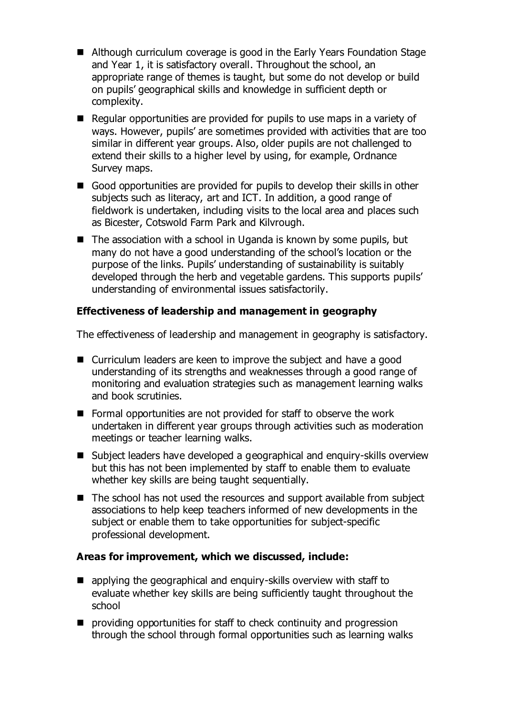- Although curriculum coverage is good in the Early Years Foundation Stage and Year 1, it is satisfactory overall. Throughout the school, an appropriate range of themes is taught, but some do not develop or build on pupils' geographical skills and knowledge in sufficient depth or complexity.
- $\blacksquare$  Regular opportunities are provided for pupils to use maps in a variety of ways. However, pupils' are sometimes provided with activities that are too similar in different year groups. Also, older pupils are not challenged to extend their skills to a higher level by using, for example, Ordnance Survey maps.
- Good opportunities are provided for pupils to develop their skills in other subjects such as literacy, art and ICT. In addition, a good range of fieldwork is undertaken, including visits to the local area and places such as Bicester, Cotswold Farm Park and Kilvrough.
- $\blacksquare$  The association with a school in Uganda is known by some pupils, but many do not have a good understanding of the school's location or the purpose of the links. Pupils' understanding of sustainability is suitably developed through the herb and vegetable gardens. This supports pupils' understanding of environmental issues satisfactorily.

## **Effectiveness of leadership and management in geography**

The effectiveness of leadership and management in geography is satisfactory.

- Curriculum leaders are keen to improve the subject and have a good understanding of its strengths and weaknesses through a good range of monitoring and evaluation strategies such as management learning walks and book scrutinies.
- Formal opportunities are not provided for staff to observe the work undertaken in different year groups through activities such as moderation meetings or teacher learning walks.
- Subject leaders have developed a geographical and enquiry-skills overview but this has not been implemented by staff to enable them to evaluate whether key skills are being taught sequentially.
- The school has not used the resources and support available from subject associations to help keep teachers informed of new developments in the subject or enable them to take opportunities for subject-specific professional development.

## **Areas for improvement, which we discussed, include:**

- **E** applying the geographical and enguiry-skills overview with staff to evaluate whether key skills are being sufficiently taught throughout the school
- **P** providing opportunities for staff to check continuity and progression through the school through formal opportunities such as learning walks